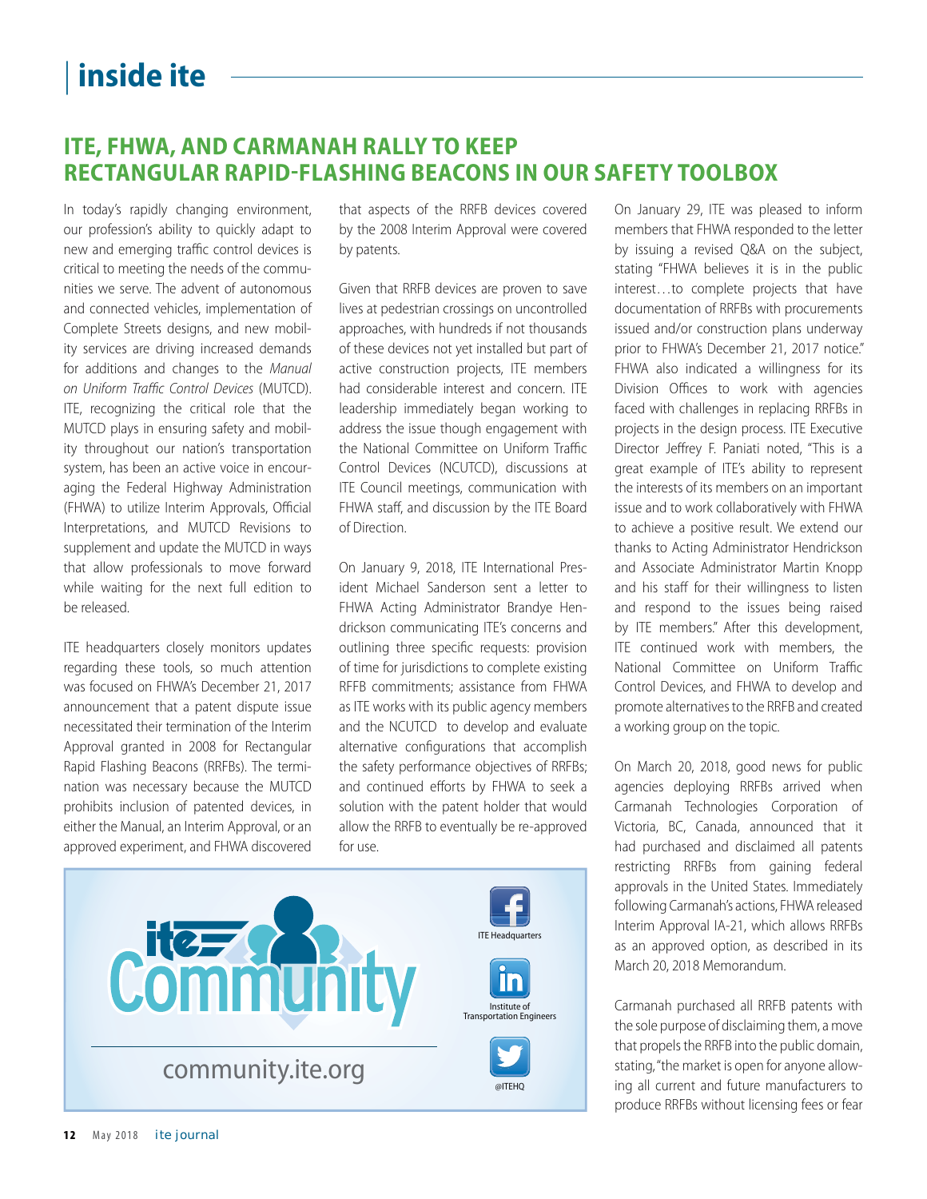## | **inside ite**

## **ITE, FHWA, AND CARMANAH RALLY TO KEEP RECTANGULAR RAPID-FLASHING BEACONS IN OUR SAFETY TOOLBOX**

In today's rapidly changing environment, our profession's ability to quickly adapt to new and emerging traffic control devices is critical to meeting the needs of the communities we serve. The advent of autonomous and connected vehicles, implementation of Complete Streets designs, and new mobility services are driving increased demands for additions and changes to the Manual on Uniform Traffic Control Devices (MUTCD). ITE, recognizing the critical role that the MUTCD plays in ensuring safety and mobility throughout our nation's transportation system, has been an active voice in encouraging the Federal Highway Administration (FHWA) to utilize Interim Approvals, Official Interpretations, and MUTCD Revisions to supplement and update the MUTCD in ways that allow professionals to move forward while waiting for the next full edition to be released.

ITE headquarters closely monitors updates regarding these tools, so much attention was focused on FHWA's December 21, 2017 announcement that a patent dispute issue necessitated their termination of the Interim Approval granted in 2008 for Rectangular Rapid Flashing Beacons (RRFBs). The termination was necessary because the MUTCD prohibits inclusion of patented devices, in either the Manual, an Interim Approval, or an approved experiment, and FHWA discovered that aspects of the RRFB devices covered by the 2008 Interim Approval were covered by patents.

Given that RRFB devices are proven to save lives at pedestrian crossings on uncontrolled approaches, with hundreds if not thousands of these devices not yet installed but part of active construction projects, ITE members had considerable interest and concern. ITE leadership immediately began working to address the issue though engagement with the National Committee on Uniform Traffic Control Devices (NCUTCD), discussions at ITE Council meetings, communication with FHWA staff, and discussion by the ITE Board of Direction.

On January 9, 2018, ITE International President Michael Sanderson sent a letter to FHWA Acting Administrator Brandye Hendrickson communicating ITE's concerns and outlining three specific requests: provision of time for jurisdictions to complete existing RFFB commitments; assistance from FHWA as ITE works with its public agency members and the NCUTCD to develop and evaluate alternative configurations that accomplish the safety performance objectives of RRFBs; and continued efforts by FHWA to seek a solution with the patent holder that would allow the RRFB to eventually be re-approved for use.



On January 29, ITE was pleased to inform members that FHWA responded to the letter by issuing a revised Q&A on the subject, stating "FHWA believes it is in the public interest…to complete projects that have documentation of RRFBs with procurements issued and/or construction plans underway prior to FHWA's December 21, 2017 notice." FHWA also indicated a willingness for its Division Offices to work with agencies faced with challenges in replacing RRFBs in projects in the design process. ITE Executive Director Jeffrey F. Paniati noted, "This is a great example of ITE's ability to represent the interests of its members on an important issue and to work collaboratively with FHWA to achieve a positive result. We extend our thanks to Acting Administrator Hendrickson and Associate Administrator Martin Knopp and his staff for their willingness to listen and respond to the issues being raised by ITE members." After this development, ITE continued work with members, the National Committee on Uniform Traffic Control Devices, and FHWA to develop and promote alternatives to the RRFB and created a working group on the topic.

On March 20, 2018, good news for public agencies deploying RRFBs arrived when Carmanah Technologies Corporation of Victoria, BC, Canada, announced that it had purchased and disclaimed all patents restricting RRFBs from gaining federal approvals in the United States. Immediately following Carmanah's actions, FHWA released Interim Approval IA-21, which allows RRFBs as an approved option, as described in its March 20, 2018 Memorandum.

Carmanah purchased all RRFB patents with the sole purpose of disclaiming them, a move that propels the RRFB into the public domain, stating, "the market is open for anyone allowing all current and future manufacturers to produce RRFBs without licensing fees or fear